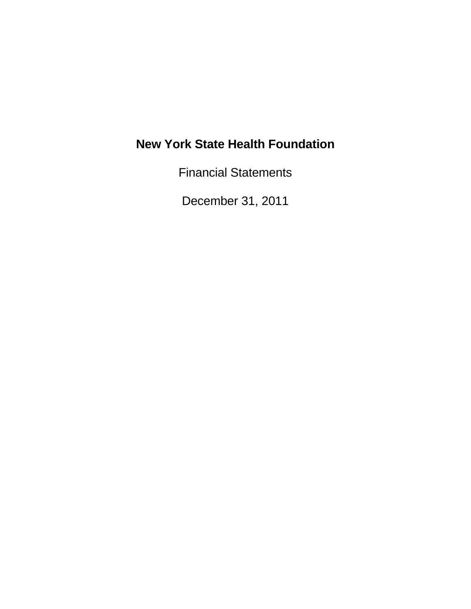Financial Statements

December 31, 2011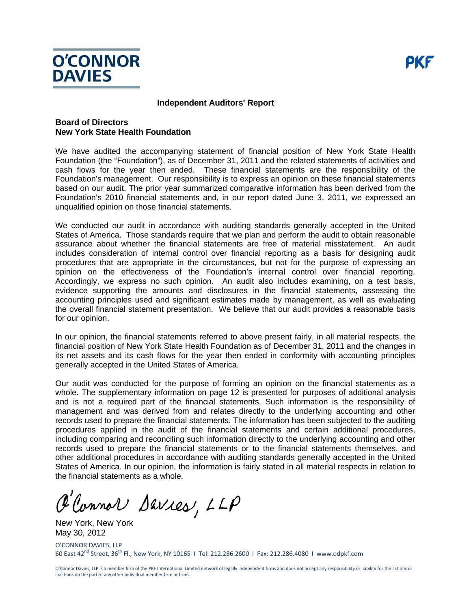

#### **Independent Auditors' Report**

#### **Board of Directors New York State Health Foundation**

We have audited the accompanying statement of financial position of New York State Health Foundation (the "Foundation"), as of December 31, 2011 and the related statements of activities and cash flows for the year then ended. These financial statements are the responsibility of the Foundation's management. Our responsibility is to express an opinion on these financial statements based on our audit. The prior year summarized comparative information has been derived from the Foundation's 2010 financial statements and, in our report dated June 3, 2011, we expressed an unqualified opinion on those financial statements.

PKF

We conducted our audit in accordance with auditing standards generally accepted in the United States of America. Those standards require that we plan and perform the audit to obtain reasonable assurance about whether the financial statements are free of material misstatement. An audit includes consideration of internal control over financial reporting as a basis for designing audit procedures that are appropriate in the circumstances, but not for the purpose of expressing an opinion on the effectiveness of the Foundation's internal control over financial reporting. Accordingly, we express no such opinion. An audit also includes examining, on a test basis, evidence supporting the amounts and disclosures in the financial statements, assessing the accounting principles used and significant estimates made by management, as well as evaluating the overall financial statement presentation. We believe that our audit provides a reasonable basis for our opinion.

In our opinion, the financial statements referred to above present fairly, in all material respects, the financial position of New York State Health Foundation as of December 31, 2011 and the changes in its net assets and its cash flows for the year then ended in conformity with accounting principles generally accepted in the United States of America.

Our audit was conducted for the purpose of forming an opinion on the financial statements as a whole. The supplementary information on page 12 is presented for purposes of additional analysis and is not a required part of the financial statements. Such information is the responsibility of management and was derived from and relates directly to the underlying accounting and other records used to prepare the financial statements. The information has been subjected to the auditing procedures applied in the audit of the financial statements and certain additional procedures, including comparing and reconciling such information directly to the underlying accounting and other records used to prepare the financial statements or to the financial statements themselves, and other additional procedures in accordance with auditing standards generally accepted in the United States of America. In our opinion, the information is fairly stated in all material respects in relation to the financial statements as a whole.

O'Connor Davies, LLP

New York, New York May 30, 2012

O'CONNOR DAVIES, LLP 60 East  $42^{nd}$  Street, 36<sup>th</sup> Fl., New York, NY 10165 1 Tel: 212.286.2600 1 Fax: 212.286.4080 1 www.odpkf.com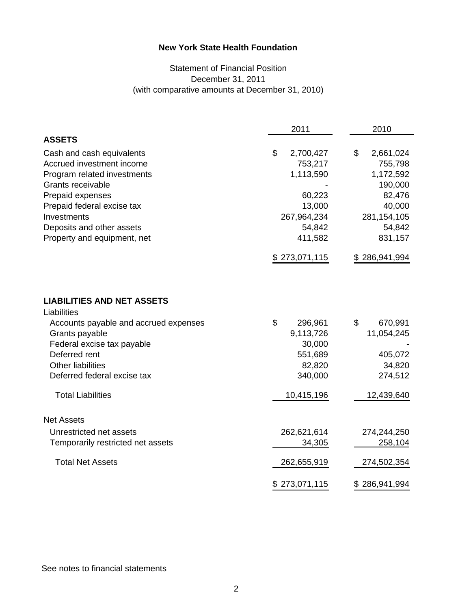# Statement of Financial Position December 31, 2011 (with comparative amounts at December 31, 2010)

|                                                         | 2011            | 2010            |
|---------------------------------------------------------|-----------------|-----------------|
| <b>ASSETS</b>                                           |                 |                 |
| Cash and cash equivalents                               | 2,700,427<br>\$ | \$<br>2,661,024 |
| Accrued investment income                               | 753,217         | 755,798         |
| Program related investments                             | 1,113,590       | 1,172,592       |
| Grants receivable                                       |                 | 190,000         |
| Prepaid expenses                                        | 60,223          | 82,476          |
| Prepaid federal excise tax                              | 13,000          | 40,000          |
| Investments                                             | 267,964,234     | 281, 154, 105   |
| Deposits and other assets                               | 54,842          | 54,842          |
| Property and equipment, net                             | 411,582         | 831,157         |
|                                                         | \$273,071,115   | \$286,941,994   |
| <b>LIABILITIES AND NET ASSETS</b>                       |                 |                 |
| Liabilities                                             |                 |                 |
| Accounts payable and accrued expenses                   | \$<br>296,961   | \$<br>670,991   |
| Grants payable                                          | 9,113,726       | 11,054,245      |
| Federal excise tax payable                              | 30,000          |                 |
| Deferred rent                                           | 551,689         | 405,072         |
| <b>Other liabilities</b><br>Deferred federal excise tax | 82,820          | 34,820          |
|                                                         | 340,000         | 274,512         |
| <b>Total Liabilities</b>                                | 10,415,196      | 12,439,640      |
| <b>Net Assets</b>                                       |                 |                 |
| Unrestricted net assets                                 | 262,621,614     | 274,244,250     |
| Temporarily restricted net assets                       | 34,305          | 258,104         |
| <b>Total Net Assets</b>                                 | 262,655,919     | 274,502,354     |
|                                                         | \$273,071,115   | \$286,941,994   |

See notes to financial statements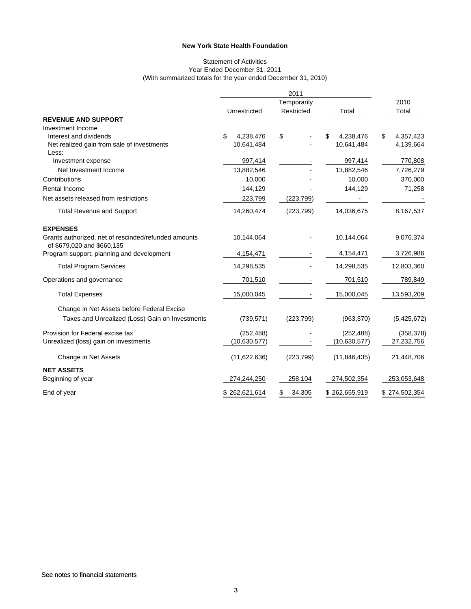#### Statement of Activities Year Ended December 31, 2011 (With summarized totals for the year ended December 31, 2010)

|                                                                                    | 2011            |              |                 |                 |
|------------------------------------------------------------------------------------|-----------------|--------------|-----------------|-----------------|
|                                                                                    |                 | Temporarily  |                 | 2010            |
|                                                                                    | Unrestricted    | Restricted   | Total           | Total           |
| <b>REVENUE AND SUPPORT</b>                                                         |                 |              |                 |                 |
| Investment Income                                                                  |                 |              |                 |                 |
| Interest and dividends                                                             | \$<br>4,238,476 | \$           | \$<br>4,238,476 | \$<br>4,357,423 |
| Net realized gain from sale of investments<br>Less:                                | 10,641,484      |              | 10,641,484      | 4,139,664       |
| Investment expense                                                                 | 997,414         |              | 997,414         | 770,808         |
| Net Investment Income                                                              | 13,882,546      |              | 13,882,546      | 7,726,279       |
| Contributions                                                                      | 10,000          |              | 10,000          | 370,000         |
| Rental Income                                                                      | 144,129         |              | 144,129         | 71,258          |
| Net assets released from restrictions                                              | 223,799         | (223, 799)   |                 |                 |
| <b>Total Revenue and Support</b>                                                   | 14,260,474      | (223, 799)   | 14,036,675      | 8,167,537       |
| <b>EXPENSES</b>                                                                    |                 |              |                 |                 |
| Grants authorized, net of rescinded/refunded amounts<br>of \$679,020 and \$660,135 | 10,144,064      |              | 10,144,064      | 9,076,374       |
| Program support, planning and development                                          | 4,154,471       |              | 4,154,471       | 3,726,986       |
| <b>Total Program Services</b>                                                      | 14,298,535      |              | 14,298,535      | 12,803,360      |
| Operations and governance                                                          | 701,510         |              | 701,510         | 789,849         |
| <b>Total Expenses</b>                                                              | 15,000,045      |              | 15,000,045      | 13,593,209      |
| Change in Net Assets before Federal Excise                                         |                 |              |                 |                 |
| Taxes and Unrealized (Loss) Gain on Investments                                    | (739, 571)      | (223, 799)   | (963, 370)      | (5,425,672)     |
| Provision for Federal excise tax                                                   | (252, 488)      |              | (252, 488)      | (358, 378)      |
| Unrealized (loss) gain on investments                                              | (10,630,577)    |              | (10,630,577)    | 27,232,756      |
| Change in Net Assets                                                               | (11,622,636)    | (223, 799)   | (11, 846, 435)  | 21,448,706      |
| <b>NET ASSETS</b>                                                                  |                 |              |                 |                 |
| Beginning of year                                                                  | 274,244,250     | 258,104      | 274,502,354     | 253,053,648     |
| End of year                                                                        | \$262,621,614   | \$<br>34,305 | \$262,655,919   | \$274,502,354   |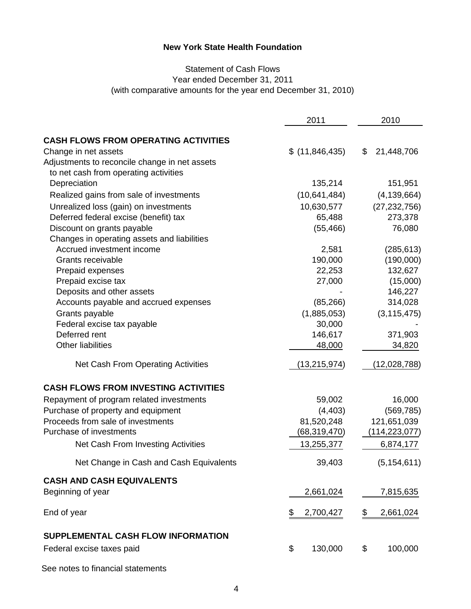# Statement of Cash Flows Year ended December 31, 2011 (with comparative amounts for the year end December 31, 2010)

|                                                                          | 2011             | 2010                    |
|--------------------------------------------------------------------------|------------------|-------------------------|
| <b>CASH FLOWS FROM OPERATING ACTIVITIES</b>                              |                  |                         |
| Change in net assets                                                     | $$$ (11,846,435) | \$<br>21,448,706        |
| Adjustments to reconcile change in net assets                            |                  |                         |
| to net cash from operating activities                                    |                  |                         |
| Depreciation                                                             | 135,214          | 151,951                 |
| Realized gains from sale of investments                                  | (10,641,484)     | (4, 139, 664)           |
|                                                                          |                  |                         |
| Unrealized loss (gain) on investments                                    | 10,630,577       | (27, 232, 756)          |
| Deferred federal excise (benefit) tax                                    | 65,488           | 273,378                 |
| Discount on grants payable                                               | (55, 466)        | 76,080                  |
| Changes in operating assets and liabilities<br>Accrued investment income |                  |                         |
| Grants receivable                                                        | 2,581<br>190,000 | (285, 613)<br>(190,000) |
| Prepaid expenses                                                         | 22,253           | 132,627                 |
| Prepaid excise tax                                                       | 27,000           | (15,000)                |
| Deposits and other assets                                                |                  | 146,227                 |
| Accounts payable and accrued expenses                                    | (85, 266)        | 314,028                 |
| Grants payable                                                           | (1,885,053)      | (3, 115, 475)           |
| Federal excise tax payable                                               | 30,000           |                         |
| Deferred rent                                                            | 146,617          | 371,903                 |
| <b>Other liabilities</b>                                                 | 48,000           | 34,820                  |
|                                                                          |                  |                         |
| Net Cash From Operating Activities                                       | (13,215,974)     | (12,028,788)            |
| <b>CASH FLOWS FROM INVESTING ACTIVITIES</b>                              |                  |                         |
| Repayment of program related investments                                 | 59,002           | 16,000                  |
| Purchase of property and equipment                                       | (4, 403)         | (569, 785)              |
| Proceeds from sale of investments                                        | 81,520,248       | 121,651,039             |
| Purchase of investments                                                  | (68,319,470)     | (114, 223, 077)         |
| Net Cash From Investing Activities                                       | 13,255,377       | 6,874,177               |
| Net Change in Cash and Cash Equivalents                                  | 39,403           | (5, 154, 611)           |
| <b>CASH AND CASH EQUIVALENTS</b>                                         |                  |                         |
| Beginning of year                                                        | 2,661,024        | 7,815,635               |
| End of year                                                              | \$<br>2,700,427  | \$<br>2,661,024         |
| <b>SUPPLEMENTAL CASH FLOW INFORMATION</b><br>Federal excise taxes paid   | 130,000<br>\$    | \$<br>100,000           |
| See notes to financial statements                                        |                  |                         |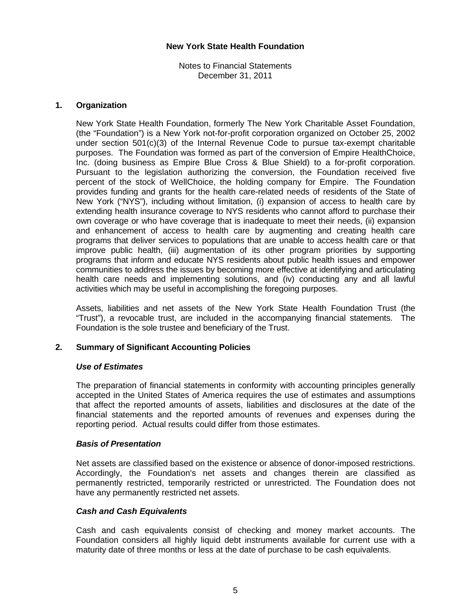Notes to Financial Statements December 31, 2011

#### **1. Organization**

New York State Health Foundation, formerly The New York Charitable Asset Foundation, (the "Foundation") is a New York not-for-profit corporation organized on October 25, 2002 under section  $501(c)(3)$  of the Internal Revenue Code to pursue tax-exempt charitable purposes. The Foundation was formed as part of the conversion of Empire HealthChoice, Inc. (doing business as Empire Blue Cross & Blue Shield) to a for-profit corporation. Pursuant to the legislation authorizing the conversion, the Foundation received five percent of the stock of WellChoice, the holding company for Empire. The Foundation provides funding and grants for the health care-related needs of residents of the State of New York ("NYS"), including without limitation, (i) expansion of access to health care by extending health insurance coverage to NYS residents who cannot afford to purchase their own coverage or who have coverage that is inadequate to meet their needs, (ii) expansion and enhancement of access to health care by augmenting and creating health care programs that deliver services to populations that are unable to access health care or that improve public health, (iii) augmentation of its other program priorities by supporting programs that inform and educate NYS residents about public health issues and empower communities to address the issues by becoming more effective at identifying and articulating health care needs and implementing solutions, and (iv) conducting any and all lawful activities which may be useful in accomplishing the foregoing purposes.

Assets, liabilities and net assets of the New York State Health Foundation Trust (the "Trust"), a revocable trust, are included in the accompanying financial statements. The Foundation is the sole trustee and beneficiary of the Trust.

# **2. Summary of Significant Accounting Policies**

#### *Use of Estimates*

The preparation of financial statements in conformity with accounting principles generally accepted in the United States of America requires the use of estimates and assumptions that affect the reported amounts of assets, liabilities and disclosures at the date of the financial statements and the reported amounts of revenues and expenses during the reporting period. Actual results could differ from those estimates.

#### *Basis of Presentation*

Net assets are classified based on the existence or absence of donor-imposed restrictions. Accordingly, the Foundation's net assets and changes therein are classified as permanently restricted, temporarily restricted or unrestricted. The Foundation does not have any permanently restricted net assets.

#### *Cash and Cash Equivalents*

Cash and cash equivalents consist of checking and money market accounts. The Foundation considers all highly liquid debt instruments available for current use with a maturity date of three months or less at the date of purchase to be cash equivalents.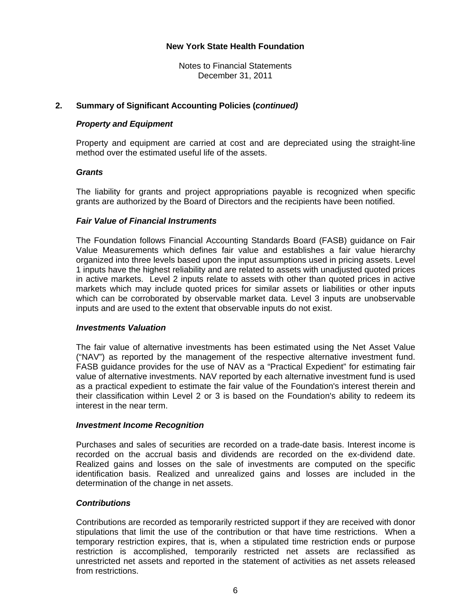Notes to Financial Statements December 31, 2011

# **2. Summary of Significant Accounting Policies (***continued)*

## *Property and Equipment*

Property and equipment are carried at cost and are depreciated using the straight-line method over the estimated useful life of the assets.

#### *Grants*

 The liability for grants and project appropriations payable is recognized when specific grants are authorized by the Board of Directors and the recipients have been notified.

#### *Fair Value of Financial Instruments*

The Foundation follows Financial Accounting Standards Board (FASB) guidance on Fair Value Measurements which defines fair value and establishes a fair value hierarchy organized into three levels based upon the input assumptions used in pricing assets. Level 1 inputs have the highest reliability and are related to assets with unadjusted quoted prices in active markets. Level 2 inputs relate to assets with other than quoted prices in active markets which may include quoted prices for similar assets or liabilities or other inputs which can be corroborated by observable market data. Level 3 inputs are unobservable inputs and are used to the extent that observable inputs do not exist.

#### *Investments Valuation*

The fair value of alternative investments has been estimated using the Net Asset Value ("NAV") as reported by the management of the respective alternative investment fund. FASB guidance provides for the use of NAV as a "Practical Expedient" for estimating fair value of alternative investments. NAV reported by each alternative investment fund is used as a practical expedient to estimate the fair value of the Foundation's interest therein and their classification within Level 2 or 3 is based on the Foundation's ability to redeem its interest in the near term.

#### *Investment Income Recognition*

Purchases and sales of securities are recorded on a trade-date basis. Interest income is recorded on the accrual basis and dividends are recorded on the ex-dividend date. Realized gains and losses on the sale of investments are computed on the specific identification basis. Realized and unrealized gains and losses are included in the determination of the change in net assets.

#### *Contributions*

Contributions are recorded as temporarily restricted support if they are received with donor stipulations that limit the use of the contribution or that have time restrictions. When a temporary restriction expires, that is, when a stipulated time restriction ends or purpose restriction is accomplished, temporarily restricted net assets are reclassified as unrestricted net assets and reported in the statement of activities as net assets released from restrictions.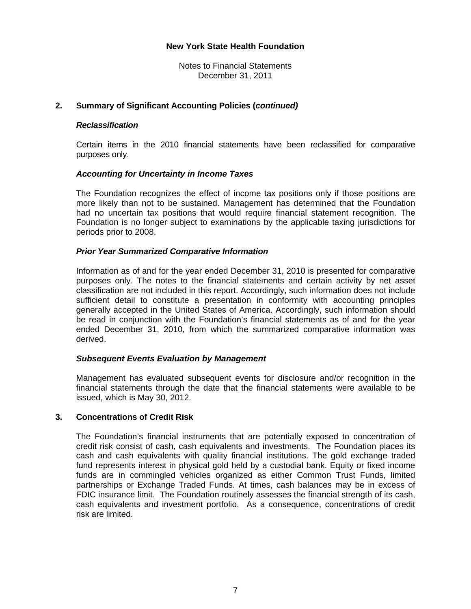Notes to Financial Statements December 31, 2011

# **2. Summary of Significant Accounting Policies (***continued)*

#### *Reclassification*

Certain items in the 2010 financial statements have been reclassified for comparative purposes only.

#### *Accounting for Uncertainty in Income Taxes*

The Foundation recognizes the effect of income tax positions only if those positions are more likely than not to be sustained. Management has determined that the Foundation had no uncertain tax positions that would require financial statement recognition. The Foundation is no longer subject to examinations by the applicable taxing jurisdictions for periods prior to 2008.

#### *Prior Year Summarized Comparative Information*

Information as of and for the year ended December 31, 2010 is presented for comparative purposes only. The notes to the financial statements and certain activity by net asset classification are not included in this report. Accordingly, such information does not include sufficient detail to constitute a presentation in conformity with accounting principles generally accepted in the United States of America. Accordingly, such information should be read in conjunction with the Foundation's financial statements as of and for the year ended December 31, 2010, from which the summarized comparative information was derived.

#### *Subsequent Events Evaluation by Management*

Management has evaluated subsequent events for disclosure and/or recognition in the financial statements through the date that the financial statements were available to be issued, which is May 30, 2012.

#### **3. Concentrations of Credit Risk**

The Foundation's financial instruments that are potentially exposed to concentration of credit risk consist of cash, cash equivalents and investments. The Foundation places its cash and cash equivalents with quality financial institutions. The gold exchange traded fund represents interest in physical gold held by a custodial bank. Equity or fixed income funds are in commingled vehicles organized as either Common Trust Funds, limited partnerships or Exchange Traded Funds. At times, cash balances may be in excess of FDIC insurance limit. The Foundation routinely assesses the financial strength of its cash, cash equivalents and investment portfolio. As a consequence, concentrations of credit risk are limited.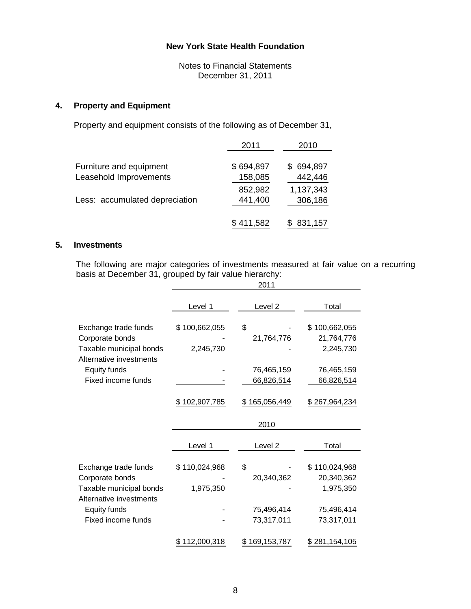Notes to Financial Statements December 31, 2011

# **4. Property and Equipment**

Property and equipment consists of the following as of December 31,

|                                | 2011      | 2010      |
|--------------------------------|-----------|-----------|
|                                |           |           |
| Furniture and equipment        | \$694,897 | \$694,897 |
| Leasehold Improvements         | 158,085   | 442,446   |
|                                | 852,982   | 1,137,343 |
| Less: accumulated depreciation | 441,400   | 306,186   |
|                                | \$411,582 | \$831,157 |

#### **5. Investments**

The following are major categories of investments measured at fair value on a recurring basis at December 31, grouped by fair value hierarchy:

|                                                    | 2011                           |                                    |                                    |  |  |  |
|----------------------------------------------------|--------------------------------|------------------------------------|------------------------------------|--|--|--|
|                                                    | Level 1                        | Level <sub>2</sub>                 | Total                              |  |  |  |
| Exchange trade funds                               | \$100,662,055                  | \$                                 | \$100,662,055                      |  |  |  |
| Corporate bonds<br>Taxable municipal bonds         | 2,245,730                      | 21,764,776                         | 21,764,776<br>2,245,730            |  |  |  |
| Alternative investments<br>Equity funds            |                                | 76,465,159                         | 76,465,159                         |  |  |  |
| Fixed income funds                                 |                                | 66,826,514                         | 66,826,514                         |  |  |  |
|                                                    | \$102,907,785<br>\$165,056,449 |                                    | \$267,964,234                      |  |  |  |
|                                                    |                                |                                    |                                    |  |  |  |
|                                                    |                                | 2010                               |                                    |  |  |  |
|                                                    | Level 1                        | Level 2                            | Total                              |  |  |  |
| Exchange trade funds                               | \$110,024,968                  | \$                                 | \$110,024,968                      |  |  |  |
| Corporate bonds                                    |                                | 20,340,362                         | 20,340,362                         |  |  |  |
| Taxable municipal bonds<br>Alternative investments | 1,975,350                      |                                    | 1,975,350                          |  |  |  |
| Equity funds                                       |                                | 75,496,414                         | 75,496,414                         |  |  |  |
| Fixed income funds                                 | \$112,000,318                  | <u>73,317,011</u><br>\$169,153,787 | <u>73,317,011</u><br>\$281,154,105 |  |  |  |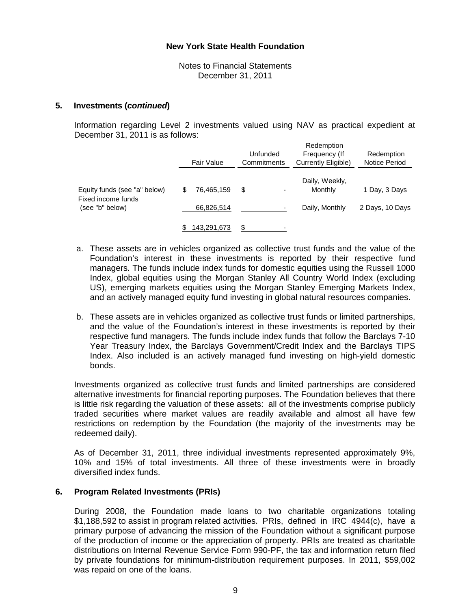Notes to Financial Statements December 31, 2011

#### **5. Investments (***continued***)**

 Information regarding Level 2 investments valued using NAV as practical expedient at December 31, 2011 is as follows:

|                                                    | Fair Value       | Unfunded<br>Commitments | Redemption<br>Frequency (If<br>Currently Eligible) | Redemption<br>Notice Period |
|----------------------------------------------------|------------------|-------------------------|----------------------------------------------------|-----------------------------|
| Equity funds (see "a" below)<br>Fixed income funds | \$<br>76,465,159 | \$<br>۰                 | Daily, Weekly,<br>Monthly                          | 1 Day, 3 Days               |
| (see "b" below)                                    | 66,826,514       | ۰                       | Daily, Monthly                                     | 2 Days, 10 Days             |
|                                                    | 143,291,673      | \$<br>۰                 |                                                    |                             |

- a. These assets are in vehicles organized as collective trust funds and the value of the Foundation's interest in these investments is reported by their respective fund managers. The funds include index funds for domestic equities using the Russell 1000 Index, global equities using the Morgan Stanley All Country World Index (excluding US), emerging markets equities using the Morgan Stanley Emerging Markets Index, and an actively managed equity fund investing in global natural resources companies.
- b. These assets are in vehicles organized as collective trust funds or limited partnerships, and the value of the Foundation's interest in these investments is reported by their respective fund managers. The funds include index funds that follow the Barclays 7-10 Year Treasury Index, the Barclays Government/Credit Index and the Barclays TIPS Index. Also included is an actively managed fund investing on high-yield domestic bonds.

Investments organized as collective trust funds and limited partnerships are considered alternative investments for financial reporting purposes. The Foundation believes that there is little risk regarding the valuation of these assets: all of the investments comprise publicly traded securities where market values are readily available and almost all have few restrictions on redemption by the Foundation (the majority of the investments may be redeemed daily).

As of December 31, 2011, three individual investments represented approximately 9%, 10% and 15% of total investments. All three of these investments were in broadly diversified index funds.

#### **6. Program Related Investments (PRIs)**

During 2008, the Foundation made loans to two charitable organizations totaling \$1,188,592 to assist in program related activities. PRIs, defined in IRC 4944(c), have a primary purpose of advancing the mission of the Foundation without a significant purpose of the production of income or the appreciation of property. PRIs are treated as charitable distributions on Internal Revenue Service Form 990-PF, the tax and information return filed by private foundations for minimum-distribution requirement purposes. In 2011, \$59,002 was repaid on one of the loans.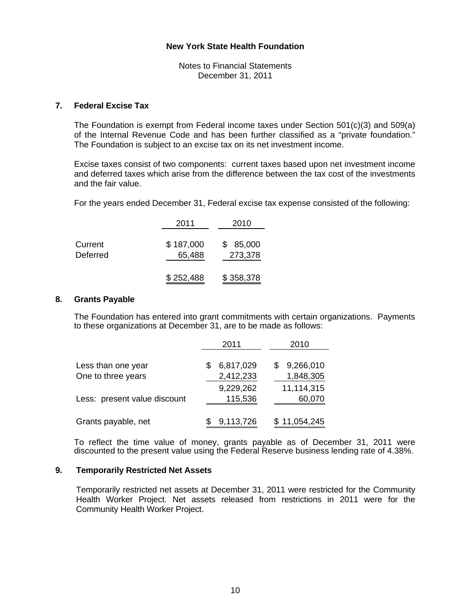Notes to Financial Statements December 31, 2011

#### **7. Federal Excise Tax**

 The Foundation is exempt from Federal income taxes under Section 501(c)(3) and 509(a) of the Internal Revenue Code and has been further classified as a "private foundation." The Foundation is subject to an excise tax on its net investment income.

 Excise taxes consist of two components: current taxes based upon net investment income and deferred taxes which arise from the difference between the tax cost of the investments and the fair value.

For the years ended December 31, Federal excise tax expense consisted of the following:

|                     | 2011                | 2010              |
|---------------------|---------------------|-------------------|
| Current<br>Deferred | \$187,000<br>65,488 | 85,000<br>273,378 |
|                     | \$252,488           | \$358,378         |

#### **8. Grants Payable**

 The Foundation has entered into grant commitments with certain organizations. Payments to these organizations at December 31, are to be made as follows:

|                              | 2011      | 2010         |
|------------------------------|-----------|--------------|
|                              |           |              |
| Less than one year           | 6,817,029 | 9,266,010    |
| One to three years           | 2,412,233 | 1,848,305    |
|                              | 9,229,262 | 11,114,315   |
| Less: present value discount | 115,536   | 60,070       |
|                              |           |              |
| Grants payable, net          | 9,113,726 | \$11,054,245 |

 To reflect the time value of money, grants payable as of December 31, 2011 were discounted to the present value using the Federal Reserve business lending rate of 4.38%.

#### **9. Temporarily Restricted Net Assets**

Temporarily restricted net assets at December 31, 2011 were restricted for the Community Health Worker Project. Net assets released from restrictions in 2011 were for the Community Health Worker Project.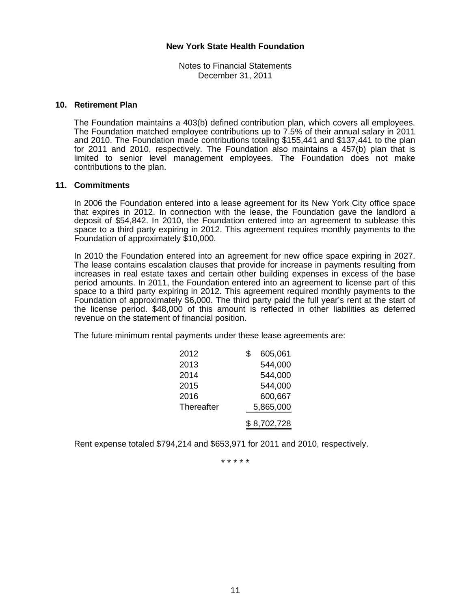Notes to Financial Statements December 31, 2011

#### **10. Retirement Plan**

 The Foundation maintains a 403(b) defined contribution plan, which covers all employees. The Foundation matched employee contributions up to 7.5% of their annual salary in 2011 and 2010. The Foundation made contributions totaling \$155,441 and \$137,441 to the plan for 2011 and 2010, respectively. The Foundation also maintains a 457(b) plan that is limited to senior level management employees. The Foundation does not make contributions to the plan.

#### **11. Commitments**

 In 2006 the Foundation entered into a lease agreement for its New York City office space that expires in 2012. In connection with the lease, the Foundation gave the landlord a deposit of \$54,842. In 2010, the Foundation entered into an agreement to sublease this space to a third party expiring in 2012. This agreement requires monthly payments to the Foundation of approximately \$10,000.

 In 2010 the Foundation entered into an agreement for new office space expiring in 2027. The lease contains escalation clauses that provide for increase in payments resulting from increases in real estate taxes and certain other building expenses in excess of the base period amounts. In 2011, the Foundation entered into an agreement to license part of this space to a third party expiring in 2012. This agreement required monthly payments to the Foundation of approximately \$6,000. The third party paid the full year's rent at the start of the license period. \$48,000 of this amount is reflected in other liabilities as deferred revenue on the statement of financial position.

The future minimum rental payments under these lease agreements are:

| 2012       | \$<br>605,061 |
|------------|---------------|
| 2013       | 544,000       |
| 2014       | 544,000       |
| 2015       | 544,000       |
| 2016       | 600,667       |
| Thereafter | 5,865,000     |
|            | \$8,702,728   |

Rent expense totaled \$794,214 and \$653,971 for 2011 and 2010, respectively.

\* \* \* \* \*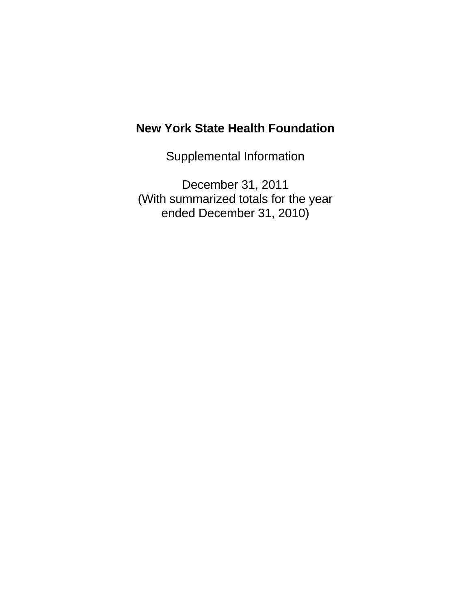Supplemental Information

December 31, 2011 (With summarized totals for the year ended December 31, 2010)